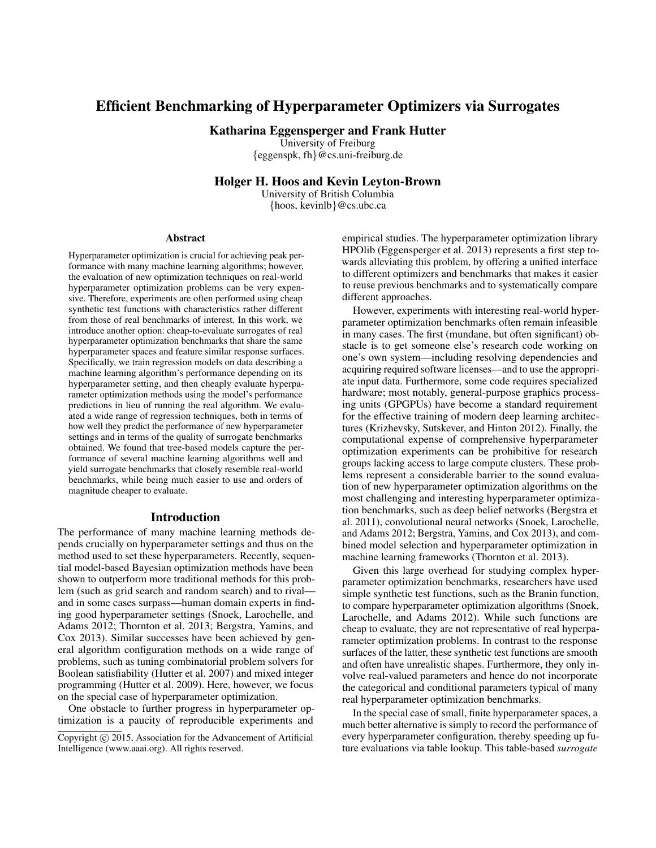# Efficient Benchmarking of Hyperparameter Optimizers via Surrogates

Katharina Eggensperger and Frank Hutter

University of Freiburg {eggenspk, fh}@cs.uni-freiburg.de

Holger H. Hoos and Kevin Leyton-Brown

University of British Columbia {hoos, kevinlb}@cs.ubc.ca

#### Abstract

Hyperparameter optimization is crucial for achieving peak performance with many machine learning algorithms; however, the evaluation of new optimization techniques on real-world hyperparameter optimization problems can be very expensive. Therefore, experiments are often performed using cheap synthetic test functions with characteristics rather different from those of real benchmarks of interest. In this work, we introduce another option: cheap-to-evaluate surrogates of real hyperparameter optimization benchmarks that share the same hyperparameter spaces and feature similar response surfaces. Specifically, we train regression models on data describing a machine learning algorithm's performance depending on its hyperparameter setting, and then cheaply evaluate hyperparameter optimization methods using the model's performance predictions in lieu of running the real algorithm. We evaluated a wide range of regression techniques, both in terms of how well they predict the performance of new hyperparameter settings and in terms of the quality of surrogate benchmarks obtained. We found that tree-based models capture the performance of several machine learning algorithms well and yield surrogate benchmarks that closely resemble real-world benchmarks, while being much easier to use and orders of magnitude cheaper to evaluate.

### Introduction

The performance of many machine learning methods depends crucially on hyperparameter settings and thus on the method used to set these hyperparameters. Recently, sequential model-based Bayesian optimization methods have been shown to outperform more traditional methods for this problem (such as grid search and random search) and to rival and in some cases surpass—human domain experts in finding good hyperparameter settings (Snoek, Larochelle, and Adams 2012; Thornton et al. 2013; Bergstra, Yamins, and Cox 2013). Similar successes have been achieved by general algorithm configuration methods on a wide range of problems, such as tuning combinatorial problem solvers for Boolean satisfiability (Hutter et al. 2007) and mixed integer programming (Hutter et al. 2009). Here, however, we focus on the special case of hyperparameter optimization.

One obstacle to further progress in hyperparameter optimization is a paucity of reproducible experiments and empirical studies. The hyperparameter optimization library HPOlib (Eggensperger et al. 2013) represents a first step towards alleviating this problem, by offering a unified interface to different optimizers and benchmarks that makes it easier to reuse previous benchmarks and to systematically compare different approaches.

However, experiments with interesting real-world hyperparameter optimization benchmarks often remain infeasible in many cases. The first (mundane, but often significant) obstacle is to get someone else's research code working on one's own system—including resolving dependencies and acquiring required software licenses—and to use the appropriate input data. Furthermore, some code requires specialized hardware; most notably, general-purpose graphics processing units (GPGPUs) have become a standard requirement for the effective training of modern deep learning architectures (Krizhevsky, Sutskever, and Hinton 2012). Finally, the computational expense of comprehensive hyperparameter optimization experiments can be prohibitive for research groups lacking access to large compute clusters. These problems represent a considerable barrier to the sound evaluation of new hyperparameter optimization algorithms on the most challenging and interesting hyperparameter optimization benchmarks, such as deep belief networks (Bergstra et al. 2011), convolutional neural networks (Snoek, Larochelle, and Adams 2012; Bergstra, Yamins, and Cox 2013), and combined model selection and hyperparameter optimization in machine learning frameworks (Thornton et al. 2013).

Given this large overhead for studying complex hyperparameter optimization benchmarks, researchers have used simple synthetic test functions, such as the Branin function, to compare hyperparameter optimization algorithms (Snoek, Larochelle, and Adams 2012). While such functions are cheap to evaluate, they are not representative of real hyperparameter optimization problems. In contrast to the response surfaces of the latter, these synthetic test functions are smooth and often have unrealistic shapes. Furthermore, they only involve real-valued parameters and hence do not incorporate the categorical and conditional parameters typical of many real hyperparameter optimization benchmarks.

In the special case of small, finite hyperparameter spaces, a much better alternative is simply to record the performance of every hyperparameter configuration, thereby speeding up future evaluations via table lookup. This table-based *surrogate*

Copyright (c) 2015, Association for the Advancement of Artificial Intelligence (www.aaai.org). All rights reserved.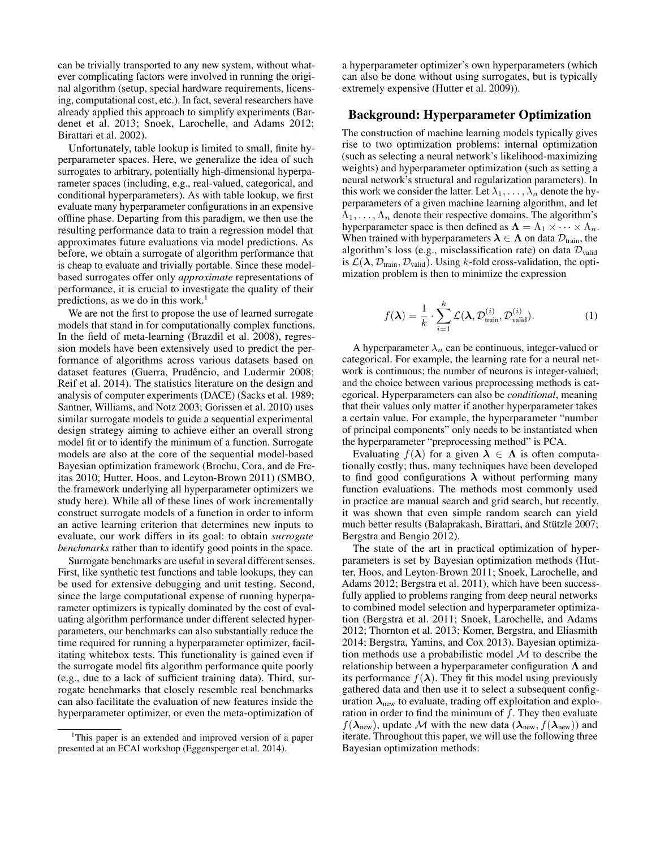can be trivially transported to any new system, without whatever complicating factors were involved in running the original algorithm (setup, special hardware requirements, licensing, computational cost, etc.). In fact, several researchers have already applied this approach to simplify experiments (Bardenet et al. 2013; Snoek, Larochelle, and Adams 2012; Birattari et al. 2002).

Unfortunately, table lookup is limited to small, finite hyperparameter spaces. Here, we generalize the idea of such surrogates to arbitrary, potentially high-dimensional hyperparameter spaces (including, e.g., real-valued, categorical, and conditional hyperparameters). As with table lookup, we first evaluate many hyperparameter configurations in an expensive offline phase. Departing from this paradigm, we then use the resulting performance data to train a regression model that approximates future evaluations via model predictions. As before, we obtain a surrogate of algorithm performance that is cheap to evaluate and trivially portable. Since these modelbased surrogates offer only *approximate* representations of performance, it is crucial to investigate the quality of their predictions, as we do in this work.<sup>1</sup>

We are not the first to propose the use of learned surrogate models that stand in for computationally complex functions. In the field of meta-learning (Brazdil et al. 2008), regression models have been extensively used to predict the performance of algorithms across various datasets based on dataset features (Guerra, Prudêncio, and Ludermir 2008; Reif et al. 2014). The statistics literature on the design and analysis of computer experiments (DACE) (Sacks et al. 1989; Santner, Williams, and Notz 2003; Gorissen et al. 2010) uses similar surrogate models to guide a sequential experimental design strategy aiming to achieve either an overall strong model fit or to identify the minimum of a function. Surrogate models are also at the core of the sequential model-based Bayesian optimization framework (Brochu, Cora, and de Freitas 2010; Hutter, Hoos, and Leyton-Brown 2011) (SMBO, the framework underlying all hyperparameter optimizers we study here). While all of these lines of work incrementally construct surrogate models of a function in order to inform an active learning criterion that determines new inputs to evaluate, our work differs in its goal: to obtain *surrogate benchmarks* rather than to identify good points in the space.

Surrogate benchmarks are useful in several different senses. First, like synthetic test functions and table lookups, they can be used for extensive debugging and unit testing. Second, since the large computational expense of running hyperparameter optimizers is typically dominated by the cost of evaluating algorithm performance under different selected hyperparameters, our benchmarks can also substantially reduce the time required for running a hyperparameter optimizer, facilitating whitebox tests. This functionality is gained even if the surrogate model fits algorithm performance quite poorly (e.g., due to a lack of sufficient training data). Third, surrogate benchmarks that closely resemble real benchmarks can also facilitate the evaluation of new features inside the hyperparameter optimizer, or even the meta-optimization of a hyperparameter optimizer's own hyperparameters (which can also be done without using surrogates, but is typically extremely expensive (Hutter et al. 2009)).

# Background: Hyperparameter Optimization

The construction of machine learning models typically gives rise to two optimization problems: internal optimization (such as selecting a neural network's likelihood-maximizing weights) and hyperparameter optimization (such as setting a neural network's structural and regularization parameters). In this work we consider the latter. Let  $\lambda_1, \ldots, \lambda_n$  denote the hyperparameters of a given machine learning algorithm, and let  $\Lambda_1, \ldots, \Lambda_n$  denote their respective domains. The algorithm's hyperparameter space is then defined as  $\Lambda = \Lambda_1 \times \cdots \times \Lambda_n$ . When trained with hyperparameters  $\lambda \in \Lambda$  on data  $\mathcal{D}_{\text{train}}$ , the algorithm's loss (e.g., misclassification rate) on data  $\mathcal{D}_{valid}$ is  $\mathcal{L}(\lambda, \mathcal{D}_{\text{train}}, \mathcal{D}_{\text{valid}})$ . Using k-fold cross-validation, the optimization problem is then to minimize the expression

$$
f(\boldsymbol{\lambda}) = \frac{1}{k} \cdot \sum_{i=1}^{k} \mathcal{L}(\boldsymbol{\lambda}, \mathcal{D}_{\text{train}}^{(i)}, \mathcal{D}_{\text{valid}}^{(i)}).
$$
 (1)

A hyperparameter  $\lambda_n$  can be continuous, integer-valued or categorical. For example, the learning rate for a neural network is continuous; the number of neurons is integer-valued; and the choice between various preprocessing methods is categorical. Hyperparameters can also be *conditional*, meaning that their values only matter if another hyperparameter takes a certain value. For example, the hyperparameter "number of principal components" only needs to be instantiated when the hyperparameter "preprocessing method" is PCA.

Evaluating  $f(\lambda)$  for a given  $\lambda \in \Lambda$  is often computationally costly; thus, many techniques have been developed to find good configurations  $\lambda$  without performing many function evaluations. The methods most commonly used in practice are manual search and grid search, but recently, it was shown that even simple random search can yield much better results (Balaprakash, Birattari, and Stützle 2007; Bergstra and Bengio 2012).

The state of the art in practical optimization of hyperparameters is set by Bayesian optimization methods (Hutter, Hoos, and Leyton-Brown 2011; Snoek, Larochelle, and Adams 2012; Bergstra et al. 2011), which have been successfully applied to problems ranging from deep neural networks to combined model selection and hyperparameter optimization (Bergstra et al. 2011; Snoek, Larochelle, and Adams 2012; Thornton et al. 2013; Komer, Bergstra, and Eliasmith 2014; Bergstra, Yamins, and Cox 2013). Bayesian optimization methods use a probabilistic model  $M$  to describe the relationship between a hyperparameter configuration  $\Lambda$  and its performance  $f(\lambda)$ . They fit this model using previously gathered data and then use it to select a subsequent configuration  $\lambda_{\text{new}}$  to evaluate, trading off exploitation and exploration in order to find the minimum of  $f$ . They then evaluate  $f(\lambda_{\text{new}})$ , update M with the new data  $(\lambda_{\text{new}}, f(\lambda_{\text{new}}))$  and iterate. Throughout this paper, we will use the following three Bayesian optimization methods:

<sup>&</sup>lt;sup>1</sup>This paper is an extended and improved version of a paper presented at an ECAI workshop (Eggensperger et al. 2014).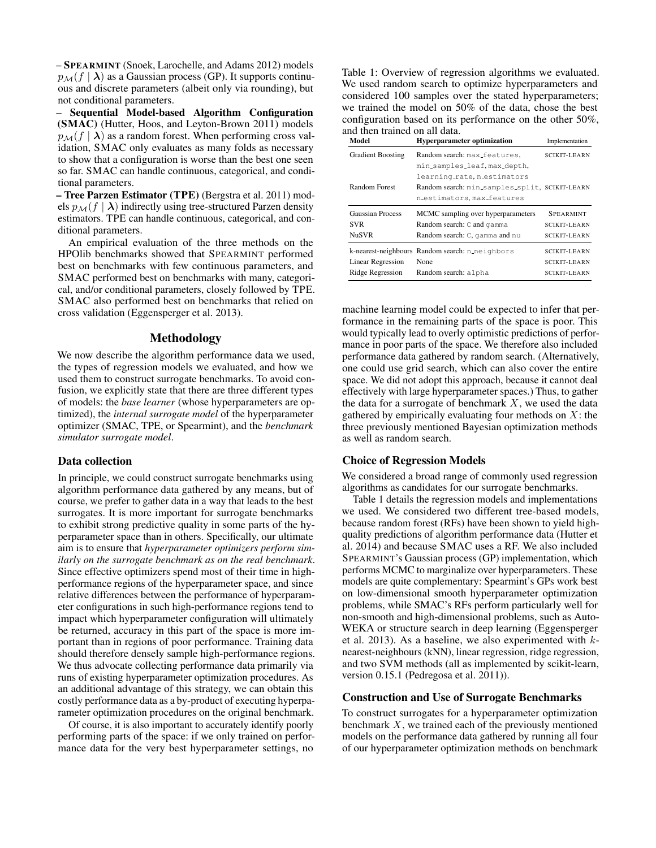– SPEARMINT (Snoek, Larochelle, and Adams 2012) models  $p_{\mathcal{M}}(f | \lambda)$  as a Gaussian process (GP). It supports continuous and discrete parameters (albeit only via rounding), but not conditional parameters.

– Sequential Model-based Algorithm Configuration (SMAC) (Hutter, Hoos, and Leyton-Brown 2011) models  $p_{\mathcal{M}}(f | \lambda)$  as a random forest. When performing cross validation, SMAC only evaluates as many folds as necessary to show that a configuration is worse than the best one seen so far. SMAC can handle continuous, categorical, and conditional parameters.

– Tree Parzen Estimator (TPE) (Bergstra et al. 2011) models  $p_{\mathcal{M}}(f | \lambda)$  indirectly using tree-structured Parzen density estimators. TPE can handle continuous, categorical, and conditional parameters.

An empirical evaluation of the three methods on the HPOlib benchmarks showed that SPEARMINT performed best on benchmarks with few continuous parameters, and SMAC performed best on benchmarks with many, categorical, and/or conditional parameters, closely followed by TPE. SMAC also performed best on benchmarks that relied on cross validation (Eggensperger et al. 2013).

# Methodology

We now describe the algorithm performance data we used, the types of regression models we evaluated, and how we used them to construct surrogate benchmarks. To avoid confusion, we explicitly state that there are three different types of models: the *base learner* (whose hyperparameters are optimized), the *internal surrogate model* of the hyperparameter optimizer (SMAC, TPE, or Spearmint), and the *benchmark simulator surrogate model*.

# Data collection

In principle, we could construct surrogate benchmarks using algorithm performance data gathered by any means, but of course, we prefer to gather data in a way that leads to the best surrogates. It is more important for surrogate benchmarks to exhibit strong predictive quality in some parts of the hyperparameter space than in others. Specifically, our ultimate aim is to ensure that *hyperparameter optimizers perform similarly on the surrogate benchmark as on the real benchmark*. Since effective optimizers spend most of their time in highperformance regions of the hyperparameter space, and since relative differences between the performance of hyperparameter configurations in such high-performance regions tend to impact which hyperparameter configuration will ultimately be returned, accuracy in this part of the space is more important than in regions of poor performance. Training data should therefore densely sample high-performance regions. We thus advocate collecting performance data primarily via runs of existing hyperparameter optimization procedures. As an additional advantage of this strategy, we can obtain this costly performance data as a by-product of executing hyperparameter optimization procedures on the original benchmark.

Of course, it is also important to accurately identify poorly performing parts of the space: if we only trained on performance data for the very best hyperparameter settings, no Table 1: Overview of regression algorithms we evaluated. We used random search to optimize hyperparameters and considered 100 samples over the stated hyperparameters; we trained the model on 50% of the data, chose the best configuration based on its performance on the other 50%, and then trained on all data.

| Model                    | <b>Hyperparameter optimization</b>              | Implementation      |
|--------------------------|-------------------------------------------------|---------------------|
| <b>Gradient Boosting</b> | Random search: max_features,                    | <b>SCIKIT-LEARN</b> |
|                          | min_samples_leaf, max_depth,                    |                     |
|                          | learning_rate, n_estimators                     |                     |
| Random Forest            | Random search: min_samples_split, SCIKIT-LEARN  |                     |
|                          | n_estimators, max_features                      |                     |
| <b>Gaussian Process</b>  | MCMC sampling over hyperparameters              | <b>SPEARMINT</b>    |
| <b>SVR</b>               | Random search: C and gamma                      | <b>SCIKIT-LEARN</b> |
| <b>NuSVR</b>             | Random search: C, gamma and nu                  | <b>SCIKIT-LEARN</b> |
|                          |                                                 |                     |
|                          | k-nearest-neighbours Random search: n_neighbors | SCIKIT-LEARN        |
| <b>Linear Regression</b> | None                                            | SCIKIT-LEARN        |

machine learning model could be expected to infer that performance in the remaining parts of the space is poor. This would typically lead to overly optimistic predictions of performance in poor parts of the space. We therefore also included performance data gathered by random search. (Alternatively, one could use grid search, which can also cover the entire space. We did not adopt this approach, because it cannot deal effectively with large hyperparameter spaces.) Thus, to gather the data for a surrogate of benchmark  $X$ , we used the data gathered by empirically evaluating four methods on  $X$ : the three previously mentioned Bayesian optimization methods as well as random search.

# Choice of Regression Models

We considered a broad range of commonly used regression algorithms as candidates for our surrogate benchmarks.

Table 1 details the regression models and implementations we used. We considered two different tree-based models, because random forest (RFs) have been shown to yield highquality predictions of algorithm performance data (Hutter et al. 2014) and because SMAC uses a RF. We also included SPEARMINT's Gaussian process (GP) implementation, which performs MCMC to marginalize over hyperparameters. These models are quite complementary: Spearmint's GPs work best on low-dimensional smooth hyperparameter optimization problems, while SMAC's RFs perform particularly well for non-smooth and high-dimensional problems, such as Auto-WEKA or structure search in deep learning (Eggensperger et al. 2013). As a baseline, we also experimented with  $k$ nearest-neighbours (kNN), linear regression, ridge regression, and two SVM methods (all as implemented by scikit-learn, version 0.15.1 (Pedregosa et al. 2011)).

# Construction and Use of Surrogate Benchmarks

To construct surrogates for a hyperparameter optimization benchmark  $X$ , we trained each of the previously mentioned models on the performance data gathered by running all four of our hyperparameter optimization methods on benchmark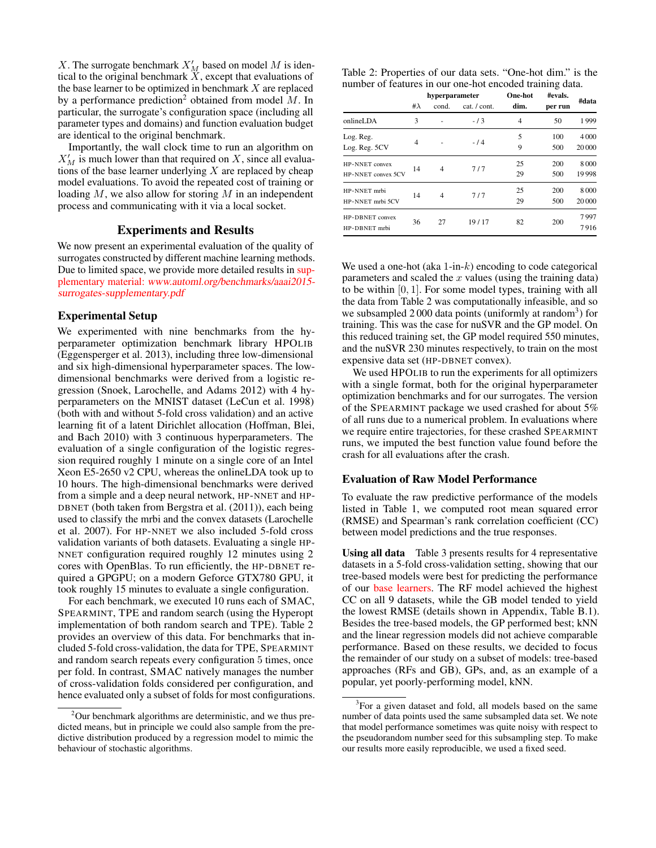X. The surrogate benchmark  $X'_M$  based on model M is identical to the original benchmark  $\overline{X}$ , except that evaluations of the base learner to be optimized in benchmark  $X$  are replaced by a performance prediction<sup>2</sup> obtained from model  $M$ . In particular, the surrogate's configuration space (including all parameter types and domains) and function evaluation budget are identical to the original benchmark.

Importantly, the wall clock time to run an algorithm on  $X'_M$  is much lower than that required on X, since all evaluations of the base learner underlying  $X$  are replaced by cheap model evaluations. To avoid the repeated cost of training or loading  $M$ , we also allow for storing  $M$  in an independent process and communicating with it via a local socket.

#### Experiments and Results

We now present an experimental evaluation of the quality of surrogates constructed by different machine learning methods. Due to limited space, we provide more detailed results in supplementary material: www.automl.org/benchmarks/aaai2015 surrogates-supplementary.pdf

#### Experimental Setup

We experimented with nine benchmarks from the hyperparameter optimization benchmark library HPOLIB (Eggensperger et al. 2013), including three low-dimensional and six high-dimensional hyperparameter spaces. The lowdimensional benchmarks were derived from a logistic regression (Snoek, Larochelle, and Adams 2012) with 4 hyperparameters on the MNIST dataset (LeCun et al. 1998) (both with and without 5-fold cross validation) and an active learning fit of a latent Dirichlet allocation (Hoffman, Blei, and Bach 2010) with 3 continuous hyperparameters. The evaluation of a single configuration of the logistic regression required roughly 1 minute on a single core of an Intel Xeon E5-2650 v2 CPU, whereas the onlineLDA took up to 10 hours. The high-dimensional benchmarks were derived from a simple and a deep neural network, HP-NNET and HP-DBNET (both taken from Bergstra et al. (2011)), each being used to classify the mrbi and the convex datasets (Larochelle et al. 2007). For HP-NNET we also included 5-fold cross validation variants of both datasets. Evaluating a single HP-NNET configuration required roughly 12 minutes using 2 cores with OpenBlas. To run efficiently, the HP-DBNET required a GPGPU; on a modern Geforce GTX780 GPU, it took roughly 15 minutes to evaluate a single configuration.

For each benchmark, we executed 10 runs each of SMAC, SPEARMINT, TPE and random search (using the Hyperopt implementation of both random search and TPE). Table 2 provides an overview of this data. For benchmarks that included 5-fold cross-validation, the data for TPE, SPEARMINT and random search repeats every configuration 5 times, once per fold. In contrast, SMAC natively manages the number of cross-validation folds considered per configuration, and hence evaluated only a subset of folds for most configurations.

| Table 2: Properties of our data sets. "One-hot dim." is the |  |  |  |
|-------------------------------------------------------------|--|--|--|
| number of features in our one-hot encoded training data.    |  |  |  |
|                                                             |  |  |  |

|                    | hyperparameter |       |              | One-hot        | #evals. |        |  |
|--------------------|----------------|-------|--------------|----------------|---------|--------|--|
|                    | # $\lambda$    | cond. | cat. / cont. | dim.           | per run | #data  |  |
| onlineLDA          | 3              |       | $-13$        | $\overline{4}$ | 50      | 1999   |  |
| Log. Reg.          | 4              |       | $-14$        | 5              | 100     | 4000   |  |
| Log. Reg. 5CV      |                |       |              | 9              | 500     | 20 000 |  |
| HP-NNET convex     | 14             | 4     | 7/7          | 25             | 200     | 8000   |  |
| HP-NNET convex 5CV |                |       |              | 29             | 500     | 19998  |  |
| HP-NNET mrbi       |                |       | 7/7          | 25             | 200     | 8000   |  |
| HP-NNET mrbi 5CV   | 14             | 4     |              | 29             | 500     | 20 000 |  |
| HP-DBNET convex    | 36             | 27    | 19/17        | 82             | 200     | 7997   |  |
| HP-DBNET mrbi      |                |       |              |                |         | 7916   |  |

We used a one-hot (aka  $1$ -in- $k$ ) encoding to code categorical parameters and scaled the  $x$  values (using the training data) to be within [0, 1]. For some model types, training with all the data from Table 2 was computationally infeasible, and so we subsampled 2 000 data points (uniformly at random<sup>3</sup>) for training. This was the case for nuSVR and the GP model. On this reduced training set, the GP model required 550 minutes, and the nuSVR 230 minutes respectively, to train on the most expensive data set (HP-DBNET convex).

We used HPOLIB to run the experiments for all optimizers with a single format, both for the original hyperparameter optimization benchmarks and for our surrogates. The version of the SPEARMINT package we used crashed for about 5% of all runs due to a numerical problem. In evaluations where we require entire trajectories, for these crashed SPEARMINT runs, we imputed the best function value found before the crash for all evaluations after the crash.

#### Evaluation of Raw Model Performance

To evaluate the raw predictive performance of the models listed in Table 1, we computed root mean squared error (RMSE) and Spearman's rank correlation coefficient (CC) between model predictions and the true responses.

Using all data Table 3 presents results for 4 representative datasets in a 5-fold cross-validation setting, showing that our tree-based models were best for predicting the performance of our base learners. The RF model achieved the highest CC on all 9 datasets, while the GB model tended to yield the lowest RMSE (details shown in Appendix, Table B.1). Besides the tree-based models, the GP performed best; kNN and the linear regression models did not achieve comparable performance. Based on these results, we decided to focus the remainder of our study on a subset of models: tree-based approaches (RFs and GB), GPs, and, as an example of a popular, yet poorly-performing model, kNN.

<sup>&</sup>lt;sup>2</sup>Our benchmark algorithms are deterministic, and we thus predicted means, but in principle we could also sample from the predictive distribution produced by a regression model to mimic the behaviour of stochastic algorithms.

<sup>&</sup>lt;sup>3</sup>For a given dataset and fold, all models based on the same number of data points used the same subsampled data set. We note that model performance sometimes was quite noisy with respect to the pseudorandom number seed for this subsampling step. To make our results more easily reproducible, we used a fixed seed.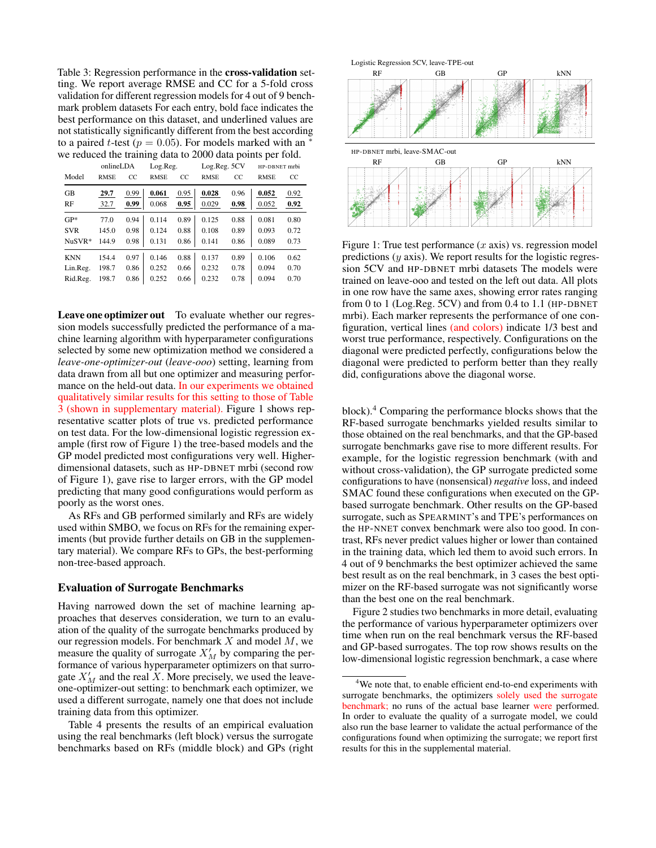Table 3: Regression performance in the cross-validation setting. We report average RMSE and CC for a 5-fold cross validation for different regression models for 4 out of 9 benchmark problem datasets For each entry, bold face indicates the best performance on this dataset, and underlined values are not statistically significantly different from the best according to a paired t-test ( $p = 0.05$ ). For models marked with an <sup>∗</sup> we reduced the training data to 2000 data points per fold.

|            | onlineLDA   |      | Log.Reg.    |      | Log.Reg. 5CV       |      | HP-DBNET mrbi |      |  |
|------------|-------------|------|-------------|------|--------------------|------|---------------|------|--|
| Model      | <b>RMSE</b> | CC.  | <b>RMSE</b> | CC.  | <b>RMSE</b><br>CC. |      | <b>RMSE</b>   | CC   |  |
| <b>GB</b>  | 29.7        | 0.99 | 0.061       | 0.95 | 0.028              | 0.96 | 0.052         | 0.92 |  |
| RF         | 32.7        | 0.99 | 0.068       | 0.95 | 0.029              | 0.98 | 0.052         | 0.92 |  |
| $GP*$      | 77.0        | 0.94 | 0.114       | 0.89 | 0.125              | 0.88 | 0.081         | 0.80 |  |
| <b>SVR</b> | 145.0       | 0.98 | 0.124       | 0.88 | 0.108              | 0.89 | 0.093         | 0.72 |  |
| $NuSVR*$   | 144.9       | 0.98 | 0.131       | 0.86 | 0.141              | 0.86 | 0.089         | 0.73 |  |
| <b>KNN</b> | 154.4       | 0.97 | 0.146       | 0.88 | 0.137              | 0.89 | 0.106         | 0.62 |  |
| Lin.Reg.   | 198.7       | 0.86 | 0.252       | 0.66 | 0.232              | 0.78 | 0.094         | 0.70 |  |
| Rid.Reg.   | 198.7       | 0.86 | 0.252       | 0.66 | 0.232              | 0.78 | 0.094         | 0.70 |  |

Leave one optimizer out To evaluate whether our regression models successfully predicted the performance of a machine learning algorithm with hyperparameter configurations selected by some new optimization method we considered a *leave-one-optimizer-out* (*leave-ooo*) setting, learning from data drawn from all but one optimizer and measuring performance on the held-out data. In our experiments we obtained qualitatively similar results for this setting to those of Table 3 (shown in supplementary material). Figure 1 shows representative scatter plots of true vs. predicted performance on test data. For the low-dimensional logistic regression example (first row of Figure 1) the tree-based models and the GP model predicted most configurations very well. Higherdimensional datasets, such as HP-DBNET mrbi (second row of Figure 1), gave rise to larger errors, with the GP model predicting that many good configurations would perform as poorly as the worst ones.

As RFs and GB performed similarly and RFs are widely used within SMBO, we focus on RFs for the remaining experiments (but provide further details on GB in the supplementary material). We compare RFs to GPs, the best-performing non-tree-based approach.

#### Evaluation of Surrogate Benchmarks

Having narrowed down the set of machine learning approaches that deserves consideration, we turn to an evaluation of the quality of the surrogate benchmarks produced by our regression models. For benchmark  $X$  and model  $M$ , we measure the quality of surrogate  $X'_M$  by comparing the performance of various hyperparameter optimizers on that surrogate  $X'_M$  and the real X. More precisely, we used the leaveone-optimizer-out setting: to benchmark each optimizer, we used a different surrogate, namely one that does not include training data from this optimizer.

Table 4 presents the results of an empirical evaluation using the real benchmarks (left block) versus the surrogate benchmarks based on RFs (middle block) and GPs (right



Figure 1: True test performance  $(x \text{ axis})$  vs. regression model predictions  $(y \text{ axis})$ . We report results for the logistic regression 5CV and HP-DBNET mrbi datasets The models were trained on leave-ooo and tested on the left out data. All plots in one row have the same axes, showing error rates ranging from 0 to 1 (Log.Reg.  $5CV$ ) and from 0.4 to 1.1 (HP-DBNET mrbi). Each marker represents the performance of one configuration, vertical lines (and colors) indicate 1/3 best and worst true performance, respectively. Configurations on the diagonal were predicted perfectly, configurations below the diagonal were predicted to perform better than they really did, configurations above the diagonal worse.

block).<sup>4</sup> Comparing the performance blocks shows that the RF-based surrogate benchmarks yielded results similar to those obtained on the real benchmarks, and that the GP-based surrogate benchmarks gave rise to more different results. For example, for the logistic regression benchmark (with and without cross-validation), the GP surrogate predicted some configurations to have (nonsensical) *negative* loss, and indeed SMAC found these configurations when executed on the GPbased surrogate benchmark. Other results on the GP-based surrogate, such as SPEARMINT's and TPE's performances on the HP-NNET convex benchmark were also too good. In contrast, RFs never predict values higher or lower than contained in the training data, which led them to avoid such errors. In 4 out of 9 benchmarks the best optimizer achieved the same best result as on the real benchmark, in 3 cases the best optimizer on the RF-based surrogate was not significantly worse than the best one on the real benchmark.

Figure 2 studies two benchmarks in more detail, evaluating the performance of various hyperparameter optimizers over time when run on the real benchmark versus the RF-based and GP-based surrogates. The top row shows results on the low-dimensional logistic regression benchmark, a case where

<sup>&</sup>lt;sup>4</sup>We note that, to enable efficient end-to-end experiments with surrogate benchmarks, the optimizers solely used the surrogate benchmark; no runs of the actual base learner were performed. In order to evaluate the quality of a surrogate model, we could also run the base learner to validate the actual performance of the configurations found when optimizing the surrogate; we report first results for this in the supplemental material.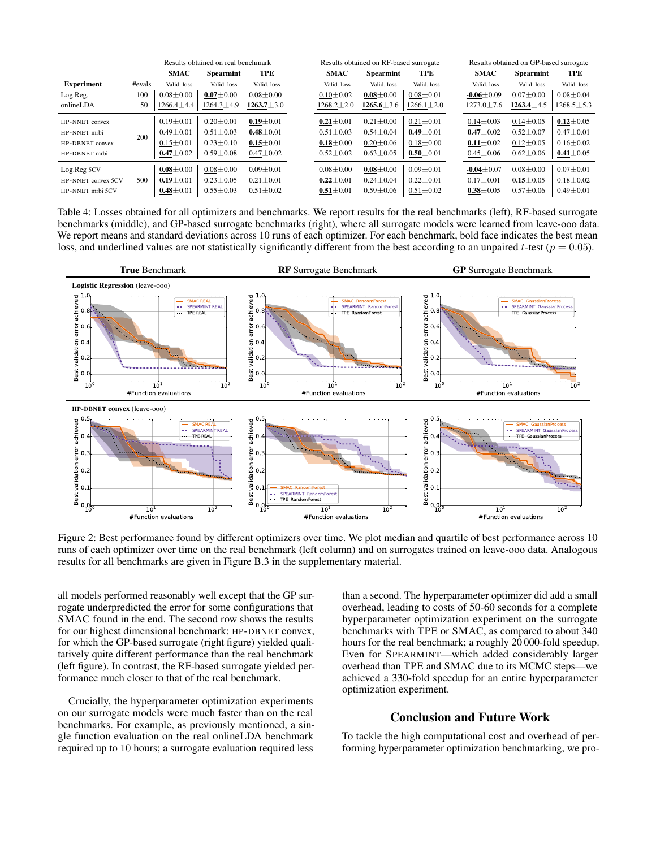|                    |        | Results obtained on real benchmark |                  |                  | Results obtained on RF-based surrogate |                  |                  |  | Results obtained on GP-based surrogate |                  |                  |
|--------------------|--------|------------------------------------|------------------|------------------|----------------------------------------|------------------|------------------|--|----------------------------------------|------------------|------------------|
|                    |        | <b>SMAC</b>                        | <b>Spearmint</b> | TPE              | <b>SMAC</b>                            | <b>Spearmint</b> | TPE              |  | <b>SMAC</b>                            | <b>Spearmint</b> | TPE              |
| <b>Experiment</b>  | #evals | Valid. loss                        | Valid. loss      | Valid. loss      | Valid. loss                            | Valid. loss      | Valid. loss      |  | Valid. loss                            | Valid. loss      | Valid. loss      |
| Log.Reg.           | 100    | $0.08 \pm 0.00$                    | $0.07 \pm 0.00$  | $0.08 \pm 0.00$  | $0.10 \pm 0.02$                        | $0.08 \pm 0.00$  | $0.08 \pm 0.01$  |  | $-0.06 \pm 0.09$                       | $0.07 \pm 0.00$  | $0.08 \pm 0.04$  |
| onlineLDA          | 50     | $1266.4 \pm 4.4$                   | 1264.3±4.9       | $1263.7 \pm 3.0$ | $1268.2 \pm 2.0$                       | $1265.6 \pm 3.6$ | $1266.1 \pm 2.0$ |  | $1273.0 \pm 7.6$                       | $1263.4 \pm 4.5$ | $1268.5 \pm 5.3$ |
| HP-NNET convex     |        | $0.19 \pm 0.01$                    | $0.20 \pm 0.01$  | $0.19 \pm 0.01$  | $0.21 \pm 0.01$                        | $0.21 \pm 0.00$  | $0.21 \pm 0.01$  |  | $0.14 \pm 0.03$                        | $0.14 \pm 0.05$  | $0.12 \pm 0.05$  |
| HP-NNET mrbi       | 200    | $0.49 \pm 0.01$                    | $0.51 \pm 0.03$  | $0.48 \pm 0.01$  | $0.51 \pm 0.03$                        | $0.54 \pm 0.04$  | $0.49 \pm 0.01$  |  | $0.47 \pm 0.02$                        | $0.52 \pm 0.07$  | $0.47 \pm 0.01$  |
| HP-DBNET convex    |        | $0.15 \pm 0.01$                    | $0.23 \pm 0.10$  | $0.15 \pm 0.01$  | $0.18 \pm 0.00$                        | $0.20 \pm 0.06$  | $0.18 \pm 0.00$  |  | $0.11 \pm 0.02$                        | $0.12 \pm 0.05$  | $0.16 \pm 0.02$  |
| HP-DBNET mrbi      |        | $0.47 \pm 0.02$                    | $0.59 \pm 0.08$  | $0.47 \pm 0.02$  | $0.52 \pm 0.02$                        | $0.63 \pm 0.05$  | $0.50 \pm 0.01$  |  | $0.45 \pm 0.06$                        | $0.62 \pm 0.06$  | $0.41 \pm 0.05$  |
| Log.Reg 5CV        |        | $0.08 \pm 0.00$                    | $0.08 + 0.00$    | $0.09 \pm 0.01$  | $0.08 \pm 0.00$                        | $0.08 \pm 0.00$  | $0.09 \pm 0.01$  |  | $-0.04 \pm 0.07$                       | $0.08 \pm 0.00$  | $0.07 \pm 0.01$  |
| HP-NNET convex 5CV | 500    | $0.19 \pm 0.01$                    | $0.23 \pm 0.05$  | $0.21 \pm 0.01$  | $0.22 \pm 0.01$                        | $0.24 \pm 0.04$  | $0.22 \pm 0.01$  |  | $0.17 \pm 0.01$                        | $0.15 \pm 0.05$  | $0.18 \pm 0.02$  |
| HP-NNET mrbi 5CV   |        | $0.48 \pm 0.01$                    | $0.55 \pm 0.03$  | $0.51 \pm 0.02$  | $0.51 \pm 0.01$                        | $0.59 \pm 0.06$  | $0.51 \pm 0.02$  |  | $0.38 \pm 0.05$                        | $0.57 \pm 0.06$  | $0.49 \pm 0.01$  |

Table 4: Losses obtained for all optimizers and benchmarks. We report results for the real benchmarks (left), RF-based surrogate benchmarks (middle), and GP-based surrogate benchmarks (right), where all surrogate models were learned from leave-ooo data. We report means and standard deviations across 10 runs of each optimizer. For each benchmark, bold face indicates the best mean loss, and underlined values are not statistically significantly different from the best according to an unpaired t-test ( $p = 0.05$ ).



Figure 2: Best performance found by different optimizers over time. We plot median and quartile of best performance across 10 runs of each optimizer over time on the real benchmark (left column) and on surrogates trained on leave-ooo data. Analogous results for all benchmarks are given in Figure B.3 in the supplementary material.

all models performed reasonably well except that the GP surrogate underpredicted the error for some configurations that SMAC found in the end. The second row shows the results for our highest dimensional benchmark: HP-DBNET convex, for which the GP-based surrogate (right figure) yielded qualitatively quite different performance than the real benchmark (left figure). In contrast, the RF-based surrogate yielded performance much closer to that of the real benchmark.

Crucially, the hyperparameter optimization experiments on our surrogate models were much faster than on the real benchmarks. For example, as previously mentioned, a single function evaluation on the real onlineLDA benchmark required up to 10 hours; a surrogate evaluation required less

than a second. The hyperparameter optimizer did add a small overhead, leading to costs of 50-60 seconds for a complete hyperparameter optimization experiment on the surrogate benchmarks with TPE or SMAC, as compared to about 340 hours for the real benchmark; a roughly 20 000-fold speedup. Even for SPEARMINT—which added considerably larger overhead than TPE and SMAC due to its MCMC steps—we achieved a 330-fold speedup for an entire hyperparameter optimization experiment.

# Conclusion and Future Work

To tackle the high computational cost and overhead of performing hyperparameter optimization benchmarking, we pro